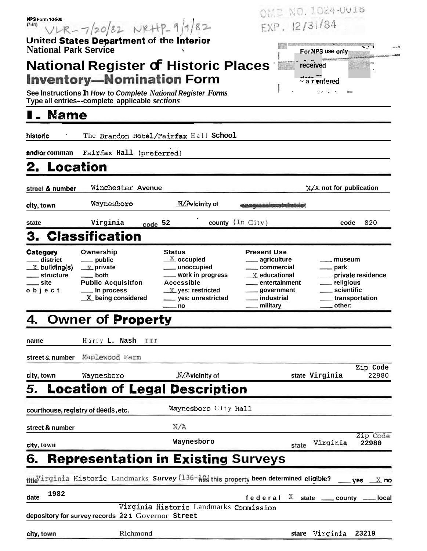| <b>NPS Form 10-900</b>           |                                                                          |                                                                                          |                                        | OME NO. 1024-0018                                      |                       |  |  |
|----------------------------------|--------------------------------------------------------------------------|------------------------------------------------------------------------------------------|----------------------------------------|--------------------------------------------------------|-----------------------|--|--|
| $(7-81)$                         | $VLR - 7/20/82$ $NRHP-9/1/82$                                            |                                                                                          |                                        | EXP. 12/31/84                                          |                       |  |  |
|                                  | United States Department of the Interior<br><b>National Park Service</b> |                                                                                          |                                        |                                                        | المستبد               |  |  |
|                                  |                                                                          | <b>National Register of Historic Places</b>                                              |                                        | received                                               |                       |  |  |
|                                  | <b>Inventory-Nomination Form</b>                                         |                                                                                          |                                        | ---- --<br>~ a r <b>e</b> ntered                       |                       |  |  |
|                                  | See Instructions In How to Complete National Register Forms              |                                                                                          |                                        | $\delta\omega_0$ , $\delta^2\Delta^2$ , $\gamma\Delta$ |                       |  |  |
|                                  | Type all entries--complete applicable sections                           |                                                                                          |                                        |                                                        |                       |  |  |
| <b>Name</b>                      |                                                                          |                                                                                          |                                        |                                                        |                       |  |  |
| historic                         |                                                                          | The Brandon Hotel/Fairfax Hall School                                                    |                                        |                                                        |                       |  |  |
| and/or comman                    | Fairfax Hall (preferred)                                                 |                                                                                          |                                        |                                                        |                       |  |  |
| 2. Location                      |                                                                          |                                                                                          |                                        |                                                        |                       |  |  |
| street & number                  | Winchester Avenue                                                        |                                                                                          |                                        | N/A not for publication                                |                       |  |  |
| city, town                       | Waynesboro                                                               | $M/A$ vicinity of                                                                        |                                        |                                                        |                       |  |  |
| state                            | Virginia                                                                 | code 52                                                                                  | county $(\text{In City})$              | code                                                   | 820                   |  |  |
|                                  | 3. Classification                                                        |                                                                                          |                                        |                                                        |                       |  |  |
| Category                         | Ownership                                                                | <b>Status</b>                                                                            | <b>Present Use</b>                     |                                                        |                       |  |  |
| $\_$ district<br>$X$ building(s) | ____ public<br>$\mathbb{X}$ private                                      | $\underline{X}$ occupied<br>__ unoccupied                                                | <sub>–</sub> agriculture<br>commercial | museum<br>—— park                                      |                       |  |  |
| ___ structure                    | ___ both                                                                 | ___ work in progress                                                                     | $\mathbb{X}$ educational               |                                                        | ___ private residence |  |  |
| $\rule{1em}{0.15mm}$ site        | <b>Public Acquisitfon</b><br>__ In process                               | <b>Accessible</b>                                                                        | entertainment<br>____ government       | ___ religious<br>___ scientific                        |                       |  |  |
| object                           | X being considered                                                       | $X$ yes: restricted<br>___ yes: unrestricted                                             | _ industrial                           |                                                        | _ transportation      |  |  |
| 4.                               | <b>Owner of Property</b>                                                 | $\equiv$ no                                                                              |                                        |                                                        |                       |  |  |
| name                             | Harry L. Nash<br>III                                                     |                                                                                          |                                        |                                                        |                       |  |  |
| street & number                  | Maplewood Farm                                                           |                                                                                          |                                        |                                                        | Zip Code              |  |  |
| city, town                       | Waynesboro                                                               | N/Avicinity of                                                                           |                                        | state Virginia                                         | 22980                 |  |  |
| 5.                               |                                                                          | <b>Location of Legal Description</b>                                                     |                                        |                                                        |                       |  |  |
|                                  | courthouse, registry of deeds, etc.                                      | Waynesboro City Hall                                                                     |                                        |                                                        |                       |  |  |
| street & number                  |                                                                          | N/A                                                                                      |                                        |                                                        |                       |  |  |
| city, town                       |                                                                          | Waynesboro                                                                               |                                        | Virginia<br>state                                      | Zip Code<br>22980     |  |  |
| 6.                               |                                                                          | <b>Representation in Existing Surveys</b>                                                |                                        |                                                        |                       |  |  |
|                                  |                                                                          | title liginia Historic Landmarks Survey (136-18) this property been determined eligible? |                                        |                                                        | X no<br>ves           |  |  |
| 1982<br>date                     |                                                                          |                                                                                          |                                        | federal $X$ state _____ county                         | local                 |  |  |
|                                  |                                                                          | Virginia Historic Landmarks Commission                                                   |                                        |                                                        |                       |  |  |
|                                  | depository for survey records 221 Governor Street                        |                                                                                          |                                        |                                                        |                       |  |  |
| city town                        | Richmond                                                                 |                                                                                          |                                        | stare Virginia                                         | 23219                 |  |  |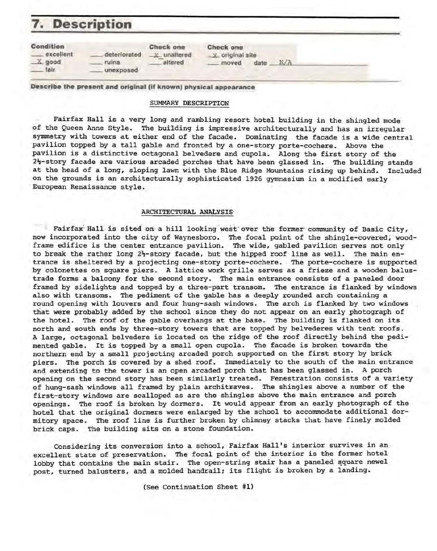# **7.** Description

| <b>Condition</b><br>excellent<br>$X$ good<br>fair. | deteriorated<br>ruins<br>unexposed | Check one<br>unaltered<br>$-15$<br>altered | Check one<br>x original site<br>N/A<br>date<br>moved |
|----------------------------------------------------|------------------------------------|--------------------------------------------|------------------------------------------------------|
|----------------------------------------------------|------------------------------------|--------------------------------------------|------------------------------------------------------|

**Describe the present and original fif known) physical appearance** 

## SUMMARY DESCRIPTION

Fairfax Hall is a very long and rambling resort hotel building in the shingled mode of the Queen Anne Style. The building is impressive architecturally and has an irregular symmetry with towers at either end of the facade. Dominating the facade is a wide central pavilion topped by a tall gable and fronted by a one-story porte-cochere. Above the pavilion is a distinctive octagonal belvedere and cupola. Along the first story of the 2<sup>1</sup>-story facade are various arcaded porches that have been glassed in. The building stands at the head of a long, sloping lawn with the Blue Ridge Mountains rising up behind. Included on the grounds is an architecturally sophisticated 1926 gymnasium in a modified early European Renaissance style.

#### **ARCHITECTURAL ANALYSIS·**

Fairfax Hall is sited on a hill looking west over the former community of Basic City, now incorporated into the city of Waynesboro. The focal point of the shingle-covered, woodframe edifice is the center entrance pavilion. The wide, gabled pavilion serves not only to break the rather long  $2\frac{1}{2}$ -story facade, but the hipped roof line as well. The main entrance is sheltered by a projecting one-story porte-cochere. The porte-cochere is supported by colonettes on square piers. A lattice work grille serves as a frieze and a wooden balustrade forms a balcony for the second story. The main entrance consists of a paneled door framed by sidelights and topped by a three-part transom. The entrance is flanked by windows also with transoms. The pediment of the gable has a deeply rounded arch containing a round opening with louvers and four hung~sash windows. The arch is flanked by two windows that were probably .added by the school since they do not appear on an early photograph of the hotel. The roof of the gable overhangs at the base. The building is flanked on its north and south ends by three-story towers that are topped by belvederes with tent roofs. A large, octagonal belvedere is located on the ridge of the roof directly behind the pedimented gable. It is topped by a small open cupola. The facade is broken towards the northern end by a small projecting arcaded porch supported on the first story by brick piers. The porch is covered by a shed roof. Immediately to the south of the main entrance and extending to the tower is an open arcaded porch that has been glassed in. A porch opening on the second story has been similarly treated. Fenestration consists of a variety of hung-sash windows all framed by plain architraves. The shingles above a number of the first-story windows are scalloped as are the shingles above the main entrance and porch openings. The roof is broken by dormers. It would appear from an early photograph of the hotel that the original dormers were enlarged by the school to accommodate additional dormitory space. The roof line is further broken by chimney stacks that have finely molded brick caps. The building sits on a stone foundation.

Considering its conversion into a school, Fairfax Hall's interior survives in an excellent state of preservation. The focal point of the interior is the former hotel lobby that contains the main stair. The open-string stair has a paneled square newel post, turned balusters, and a molded handrail; its flight is broken by a landing.

(See Continuation Sheet #1)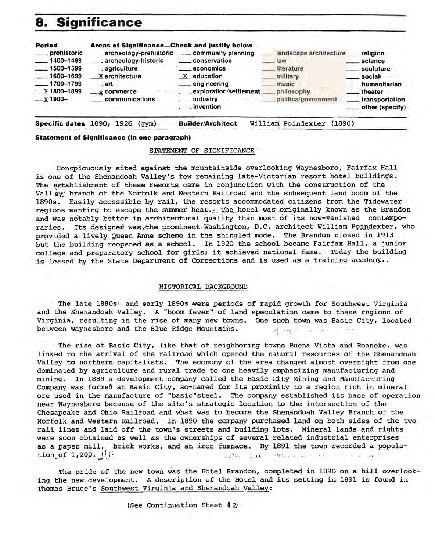## **8. S'ignificance**



**Specific dates** 1890; 1926 (gym) **Builder/Architect** William Poindexter (1890)

## **Statement of Significance (in one paragraph)**

#### STATEMENT OF SIGNIFICANCE

Conspicuously sited against the mountainside overlooking Waynesboro, Fairfax Hall is one of the Shenandoah Valley's few remaining late-Victorian resort hotel buildings. The establishment of these resorts came in conjunction with the construction of the Vall ey/ branch of the Norfolk and Western Railroad and the subsequent land boom of the 1890s. Easily accessible by rail, the resorts accommodated citizens from the Tidewater regions wanting to escape the summer heat... The hotel was originally known as the Brandon and was notably better in architectural quality than most of its now-vanished contemporaries. Its designer was, the prominent Washington, D.C. architect William Poindexter, who provided a-lively Queen Anne scheme in the shingled mode. The Brandon closed in 1913 but the building reopened as a school. In 1920 the school became Fairfax Hall, a junior college and preparatory school for girls; it achieved national fame. Today the building is leased by the State Department of Corrections and is used as a training academy..

#### HISTORICAL BACKGROUND

The late 1880s; and early 1890s were periods of rapid growth for Southwest Virginia and the Shenandoah Valley. A "boom fever" of land speculation came to these regions of Virginia, resulting in the rise of many new towns. One such town was Basic City, located between Waynesboro and the Blue Ridge Mountains. A set of the state of the state of the state of the state of the state of the state of the state of the state of the state of the state of the state of the state of the stat

The rise of Basic City, like that of neighboring towns Buena Vista and Roanoke, was linked to the arrival of the railroad which opened the natural resources of the Shenandoah Valley to northern capitalists. The economy of the area changed almost overnight from one dominated by agriculture and rural trade to one heavily emphasizing manufacturing and mining. In 1889 a development company called the Basic City Mining and Manufacturing Company was formed at Basic City, so-named for its proximity to a region rich in mineral ore used in the manufacture of "basic"steel. The company established its base of operation near Waynesboro because of the site's strategic location to the intersection of the Chesapeake and Ohio Railroad and what was to become the Shenandoah Valley Branch of the Norfolk and Western Railroad. In 1890 the company purchased land on both sides of the two rail lines and laid off the town's streets and building lots. Mineral lands and rights were soon obtained as well as the ownerships of several related industrial enterprises as a paper mill, brick works, and an iron furnace. By 1891 the town recorded a population of 1,200. **I: least of the set of the set of the set of the set of the set of the set of the set of the set of the set of the set of the set of the set of the set of the set of the set of the set of the set of the set**  $-24.15$ 

The pride of the new town was the Hotel Brandon, completed in 1890 on a hill overlooking the new development. A description of the Hotel and its setting in 1891 is found in Thomas Bruce's Southwest Virginia and Shenandoah Valley: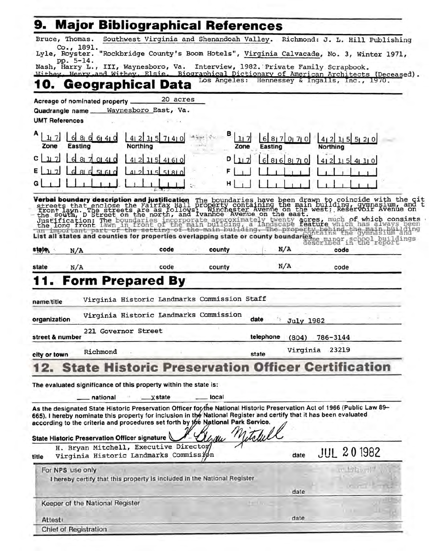|                                                                                                                                                                                                                                                                                                                                                                                                                                                                                                                                                                                                                                                             |                                                                                 | <b>Major Bibliographical References</b>       |                  |                             |  |
|-------------------------------------------------------------------------------------------------------------------------------------------------------------------------------------------------------------------------------------------------------------------------------------------------------------------------------------------------------------------------------------------------------------------------------------------------------------------------------------------------------------------------------------------------------------------------------------------------------------------------------------------------------------|---------------------------------------------------------------------------------|-----------------------------------------------|------------------|-----------------------------|--|
| Bruce, Thomas.                                                                                                                                                                                                                                                                                                                                                                                                                                                                                                                                                                                                                                              | Southwest Virginia and Shenandoah Valley. Richmond: J. L. Hill Publishing       |                                               |                  |                             |  |
| Co., 1891.<br>Lyle, Royster.                                                                                                                                                                                                                                                                                                                                                                                                                                                                                                                                                                                                                                | "Rockbridge County's Boom Hotels", Virginia Calvacade, No. 3, Winter 1971,      |                                               |                  |                             |  |
| pp. 5-14.<br>Nash, Harry L., III, Waynesboro, Va.                                                                                                                                                                                                                                                                                                                                                                                                                                                                                                                                                                                                           |                                                                                 | Interview, 1982. Private Family Scrapbook.    |                  |                             |  |
| Withey, Henry and Withey, Elsie. Biographical Dictionary of American Architects (Deceased).                                                                                                                                                                                                                                                                                                                                                                                                                                                                                                                                                                 |                                                                                 | Los Angeles: Hennessey & Ingalls, Inc., 1970. |                  |                             |  |
| 10. Geographical Data                                                                                                                                                                                                                                                                                                                                                                                                                                                                                                                                                                                                                                       |                                                                                 |                                               |                  |                             |  |
| Acreage of nominated property.                                                                                                                                                                                                                                                                                                                                                                                                                                                                                                                                                                                                                              | 20 acres                                                                        |                                               |                  |                             |  |
| Quadrangle name_<br><b>UMT References</b>                                                                                                                                                                                                                                                                                                                                                                                                                                                                                                                                                                                                                   | Waynesboro East, Va.                                                            |                                               |                  |                             |  |
|                                                                                                                                                                                                                                                                                                                                                                                                                                                                                                                                                                                                                                                             |                                                                                 | в                                             |                  |                             |  |
| 117<br>8 <sub>l</sub><br>61410<br>Zone<br>Easting                                                                                                                                                                                                                                                                                                                                                                                                                                                                                                                                                                                                           | 4 2 <br>115<br>71410<br>Northing                                                | 117<br>$6 \mid$<br>Zone<br>Easting            | 8170770          | 412<br>11551210<br>Northing |  |
| c<br>11.7<br>81                                                                                                                                                                                                                                                                                                                                                                                                                                                                                                                                                                                                                                             | 21<br>115<br>41<br>41610                                                        | D<br>317<br>81                                | 81 71 0          | $115$ 41 11 0               |  |
| ΕI<br>117                                                                                                                                                                                                                                                                                                                                                                                                                                                                                                                                                                                                                                                   | 51810<br>115                                                                    |                                               |                  | 41                          |  |
|                                                                                                                                                                                                                                                                                                                                                                                                                                                                                                                                                                                                                                                             |                                                                                 |                                               |                  |                             |  |
|                                                                                                                                                                                                                                                                                                                                                                                                                                                                                                                                                                                                                                                             |                                                                                 |                                               |                  |                             |  |
| Verbal boundary description and justification The boundaries have been drawn to coincide with the cit<br>streets that enclose the Fairfax Hall property containing the main building, gymnasium, and t<br>front lawn. The streets ar<br>Justification: The boundaries incorporate approximately twenty acres, much of which consists<br>the long front lawn in front of the main building, a landscape feature which has always been<br>the setting of the main building. The property behind the main building<br>List all states and counties for properties overlapping state or county boundaries and response the gymnasium<br>described in the report | code                                                                            | county                                        | N/A              | code                        |  |
| Aigie<br>N/A                                                                                                                                                                                                                                                                                                                                                                                                                                                                                                                                                                                                                                                |                                                                                 |                                               |                  |                             |  |
| N/A<br>state                                                                                                                                                                                                                                                                                                                                                                                                                                                                                                                                                                                                                                                | code                                                                            | county                                        | N/A              | code                        |  |
|                                                                                                                                                                                                                                                                                                                                                                                                                                                                                                                                                                                                                                                             | <b>Form Prepared By</b>                                                         |                                               |                  |                             |  |
|                                                                                                                                                                                                                                                                                                                                                                                                                                                                                                                                                                                                                                                             | Virginia Historic Landmarks Commission Staff                                    |                                               |                  |                             |  |
| name/title                                                                                                                                                                                                                                                                                                                                                                                                                                                                                                                                                                                                                                                  |                                                                                 |                                               |                  |                             |  |
| organization                                                                                                                                                                                                                                                                                                                                                                                                                                                                                                                                                                                                                                                | Virginia Historic Landmarks Commission                                          | date                                          | <b>July 1982</b> |                             |  |
| street & number                                                                                                                                                                                                                                                                                                                                                                                                                                                                                                                                                                                                                                             | 221 Governor Street                                                             | telephone                                     | (804)            | 786-3144                    |  |
|                                                                                                                                                                                                                                                                                                                                                                                                                                                                                                                                                                                                                                                             |                                                                                 |                                               |                  | Virginia 23219              |  |
|                                                                                                                                                                                                                                                                                                                                                                                                                                                                                                                                                                                                                                                             |                                                                                 |                                               |                  |                             |  |
| Richmond<br>city or town                                                                                                                                                                                                                                                                                                                                                                                                                                                                                                                                                                                                                                    |                                                                                 | state                                         |                  |                             |  |
|                                                                                                                                                                                                                                                                                                                                                                                                                                                                                                                                                                                                                                                             | <b>State Historic Preservation Officer Certification</b>                        |                                               |                  |                             |  |
| The evaluated significance of this property within the state is:                                                                                                                                                                                                                                                                                                                                                                                                                                                                                                                                                                                            |                                                                                 |                                               |                  |                             |  |
| national                                                                                                                                                                                                                                                                                                                                                                                                                                                                                                                                                                                                                                                    | _xstate                                                                         | local                                         |                  |                             |  |
| As the designated State Historic Preservation Officer for the National Historic Preservation Act of 1966 (Public Law 89-<br>665), I hereby nominate this property for inclusion in the National Register and certify that it has been evaluated<br>according to the criteria and procedures set forth by the National Park Service.                                                                                                                                                                                                                                                                                                                         |                                                                                 |                                               |                  |                             |  |
| State Historic Preservation Officer signature                                                                                                                                                                                                                                                                                                                                                                                                                                                                                                                                                                                                               |                                                                                 | hau                                           |                  |                             |  |
| title                                                                                                                                                                                                                                                                                                                                                                                                                                                                                                                                                                                                                                                       | H. Bryan Mitchell, Executive Director<br>Virginia Historic Landmarks Commission |                                               | date             | <b>JUL 201982</b>           |  |
| For NPS use only                                                                                                                                                                                                                                                                                                                                                                                                                                                                                                                                                                                                                                            |                                                                                 |                                               |                  | $n+1$ and $n+1$             |  |
|                                                                                                                                                                                                                                                                                                                                                                                                                                                                                                                                                                                                                                                             | I hereby certify that this property is included in the National Register        |                                               |                  |                             |  |
|                                                                                                                                                                                                                                                                                                                                                                                                                                                                                                                                                                                                                                                             |                                                                                 |                                               | date             |                             |  |
| Keeper of the National Register                                                                                                                                                                                                                                                                                                                                                                                                                                                                                                                                                                                                                             |                                                                                 |                                               |                  |                             |  |
| Attest:                                                                                                                                                                                                                                                                                                                                                                                                                                                                                                                                                                                                                                                     |                                                                                 |                                               | date             |                             |  |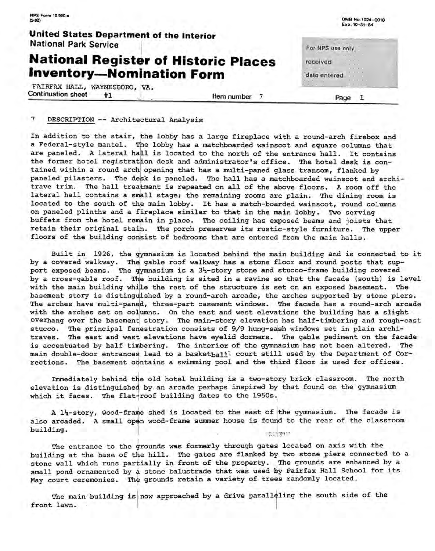|                                                                                 | Exp. 10-31-84                                             |                                                                      |
|---------------------------------------------------------------------------------|-----------------------------------------------------------|----------------------------------------------------------------------|
|                                                                                 |                                                           |                                                                      |
| <b>National Register of Historic Places</b><br><b>Inventory-Nomination Form</b> | received<br>- - - - -<br>20 20 20 20<br>.<br>date entered |                                                                      |
| Item number                                                                     | .                                                         |                                                                      |
|                                                                                 | United States Department of the Interior                  | OMB No. 1024-0018<br>For NPS use only<br>contractor and sup-<br>Page |

## DESCRIPTION -- Architectural Analysis

NPS Form 10·900,a

In addition to the stair, the lobby has a large fireplace with a round-arch firebox and a Federal-style mantel. Tie lobby has a matchboarded wainscot and square columns that are paneled. A lateral hall is located to the north of the entrance hall. It contains the former hotel registration desk and administrator's office. The hotel desk is contained within a round arch opening that has a multi-paned glass transom, flanked by paneled pilasters. The desk is paneled. The hall has a matchboarded wainscot and architrave trim. The hall treatment is repeated on all of the above floors. A room off the lateral hall contains a small stage; the remaining rooms are plain. The dining room is located to the south of the main lobby. It has a match-boarded wainscot, round columns on paneled plinths and a fireplace similar to that in the main lobby. TWo serving buffets from the hotel remain in place. The ceiling has exposed beams and joists that retain their original stain. The porch preserves its rustic-style furniture. The upper floors of the building consist of bedrooms that are entered from the main halls.

Built in 1926, the gymnasium is located behind the main building and is connected to it by a covered walkway. The gable roof walkway has a stone floor and round posts that support exposed beams. The gymnasium is a  $3\frac{1}{2}$ -story stone and stucco-frame building covered by a cross-gable roof. The building is sited in a ravine so that the facade (south) is level with the main building while the rest of the structure is set on an exposed basement. The basement story is distinguished by a round-arch arcade, the arches supported by stone piers. The arches have multi-paned, three-part casement windows. The facade has a round-arch arcade with the arches set on columns. On the east and west elevations the building has a slight overhang over the basement story. The main-story elevation has half-timbering and rough-cast stucco. The principal fenestration consists of 9/9 hung-sash windows set in plain architraves. The east and west elevations have eyelid dormers. The gable pediment on the facade is accentuated by half timbering. The interior of the gymnasium has not been altered. The main double-door entrances lead to a basketball court still used by the Department of Corrections. The basement contains a swimming pool and the third floor is used for offices.

Immediately behind the old hotel building is a two-story brick classroom. The north elevation is distinguished by an arcade perhaps inspired by that found on the gymnasium which it faces. The flat-roof building dates to the 1950s.

A l'y-story, wood-frame shed is located to the east of the gymnasium. The facade is also arcaded. A small open wood-frame summer house is found to the rear of the classroom building. 主張者 大理性の

The entrance to the grounds was formerly through gates located on axis with the building at the base of the hill. The gates are flanked by two stone piers connected to a stone wall which runs partially in front of the property. The grounds are enhanced by a small pond ornamented by a stone balustrade that was used by Fairfax Hall School for its May court ceremonies. The grounds retain a variety of trees randomly located.

The main building is now approached by a drive paralleling the south side of the front lawn.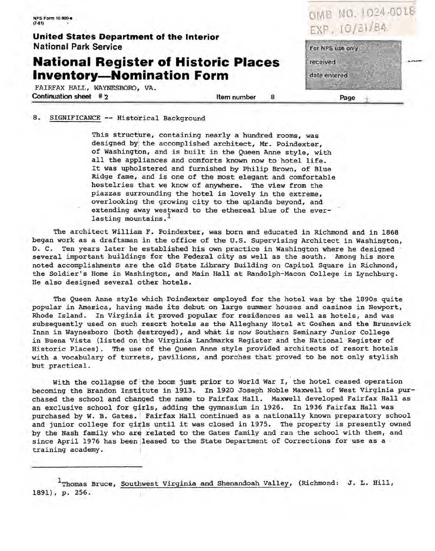0MB NO. 1024-0018\_ N.PS Form 10•900-• EXP. 10/31i84 (7-81) **United States Department of the Interior National Park Service**  For NPS use only **National Register of Historic Places**  received **Inventory-Nomination Form**  date entered FAIRFAX HALL, WAYNESBORO, VA. Continuation sheet # 2 Item number 8 Page

8. SIGNIFICANCE -- Historical Background

This structure, containing nearly a hundred rooms, was designed by the accomplished architect, Mr. Poindexter, of Washington, and is built in the Oueen Anne style, with all the appliances and comforts known now to hotel life. It was upholstered and furnished by Philip Brown, of Blue Ridge fame, and is one of the most elegant and comfortable hostelries that we know of anywhere. The view from the piazzas surrounding the hotel is lovely in the extreme, overlooking the growing city to the uplands beyond, and extending away westward to the ethereal blue of the everlasting mountains.<sup>1</sup>

The architect William F. Poindexter, was born and educated in Richmond and in 1868 began work as a draftsman in the office of the U; S. Supervising Architect in Washington, D. C. Ten years later he established his own practice in Washington where he designed· several important buildings for the Federal city as well as the south. Among his more noted accomplishments are the old State Library Building on Capitol Square in Richmond, the Soldier's Home in Washington, and Main Hall at Randolph-Macon College in Lynchburg. He also designed several other hotels.

The Queen Anne style which Poindexter employed for the hotel was by the 1890s quite popular in Amenica, having made its debut on large summer houses and casinos in Newport, Rhode Island. In Virginia it proved popular for residences as well as hotels, and was subsequently used on such resort hotels as the Alleghany Hotel at Goshen and the Brunswick Innn in Waynesboro (both destroyed), and what is now Southern Seminary Junior College in Buena Vista (listed on the Virginia Landmarks Register and the National Register of Historic Places). The use of the Queen Anne style provided architects of resort hotels with a vocabulary of turrets, pavilions, and porches that proved to be not only stylish but practical.

With the collapse of the boom just prior to World War I, the hotel ceased operation becoming the Brandon Institute in 1913. In 1920 Joseph Noble Maxwell of West Virginia purchased the school and changed the name to Fairfax Hall. Maxwell developed Fairfax Hall as an exclusive school for girls, adding the gymnasium in 1926. In 1936 Fairfax Hall was purchased by W. B. Gates. Fairfax Hall continued as a nationally known preparatory school and junior college for girls until it was closed in 1975. The property is presently owned by the Nash family who are related to the Gates family and ran the school with them, and since April 1976 has been jleased to the State Department of Corrections for use as a training academy.

1Thomas Bruce, Southwest Virginia and Shenandoah Valley, (Richmond: J. L. Hill, 1891), p. 256.